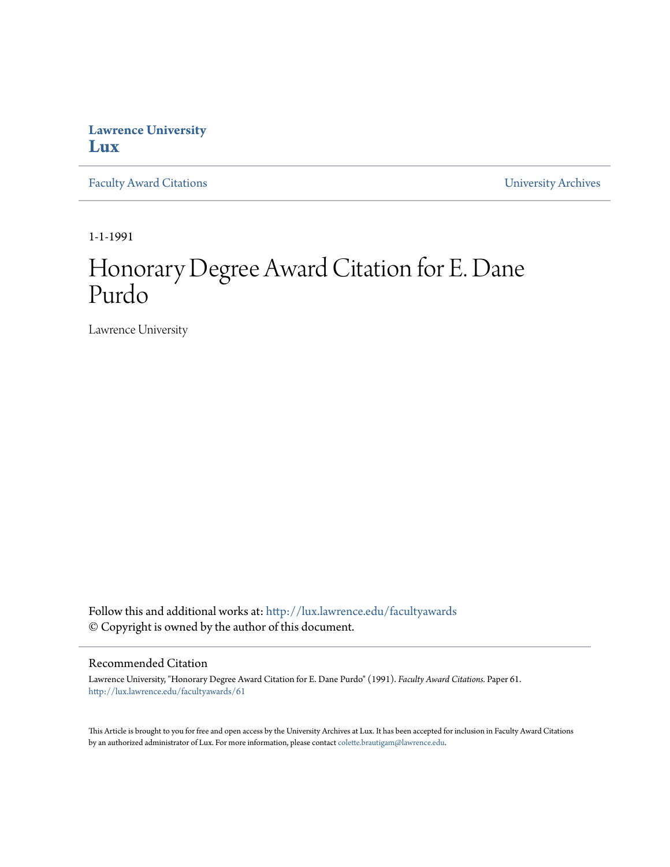## **Lawrence University [Lux](http://lux.lawrence.edu?utm_source=lux.lawrence.edu%2Ffacultyawards%2F61&utm_medium=PDF&utm_campaign=PDFCoverPages)**

[Faculty Award Citations](http://lux.lawrence.edu/facultyawards?utm_source=lux.lawrence.edu%2Ffacultyawards%2F61&utm_medium=PDF&utm_campaign=PDFCoverPages) **Example 2018** [University Archives](http://lux.lawrence.edu/archives?utm_source=lux.lawrence.edu%2Ffacultyawards%2F61&utm_medium=PDF&utm_campaign=PDFCoverPages)

1-1-1991

# Honorary Degree Award Citation for E. Dane Purdo

Lawrence University

Follow this and additional works at: [http://lux.lawrence.edu/facultyawards](http://lux.lawrence.edu/facultyawards?utm_source=lux.lawrence.edu%2Ffacultyawards%2F61&utm_medium=PDF&utm_campaign=PDFCoverPages) © Copyright is owned by the author of this document.

#### Recommended Citation

Lawrence University, "Honorary Degree Award Citation for E. Dane Purdo" (1991). *Faculty Award Citations.* Paper 61. [http://lux.lawrence.edu/facultyawards/61](http://lux.lawrence.edu/facultyawards/61?utm_source=lux.lawrence.edu%2Ffacultyawards%2F61&utm_medium=PDF&utm_campaign=PDFCoverPages)

This Article is brought to you for free and open access by the University Archives at Lux. It has been accepted for inclusion in Faculty Award Citations by an authorized administrator of Lux. For more information, please contact [colette.brautigam@lawrence.edu](mailto:colette.brautigam@lawrence.edu).